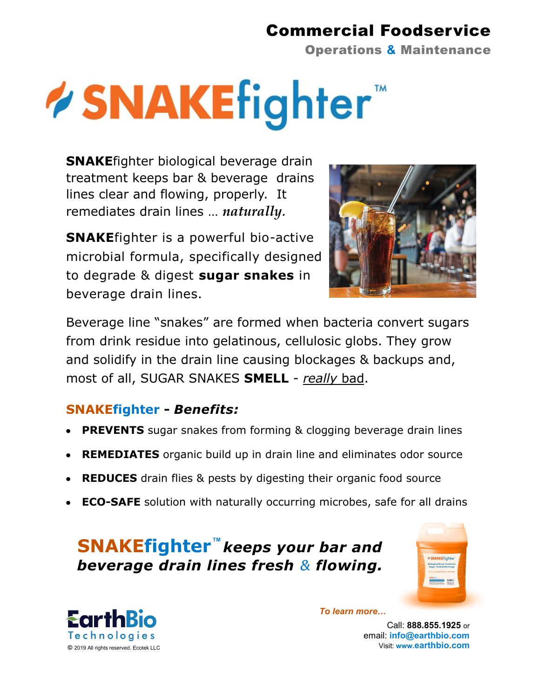## Commercial Foodservice

Operations **&** Maintenance

# **/SNAKEfighter**

**SNAKE**fighter biological beverage drain treatment keeps bar & beverage drains lines clear and flowing, properly. It remediates drain lines … *naturally.*

**SNAKE**fighter is a powerful bio-active microbial formula, specifically designed to degrade & digest **sugar snakes** in beverage drain lines.



Beverage line "snakes" are formed when bacteria convert sugars from drink residue into gelatinous, cellulosic globs. They grow and solidify in the drain line causing blockages & backups and, most of all, SUGAR SNAKES **SMELL** - *really* bad.

### **SNAKEfighter -** *Benefits:*

- **PREVENTS** sugar snakes from forming & clogging beverage drain lines
- **REMEDIATES** organic build up in drain line and eliminates odor source
- **REDUCES** drain flies & pests by digesting their organic food source
- **ECO-SAFE** solution with naturally occurring microbes, safe for all drains

## **TM SNAKEfighter** *keeps your bar and beverage drain lines fresh & flowing.*



*To learn more…*

Call: **888.855.1925** or email: **info@earthbio.com**  Visit: **www.earthbio.com**